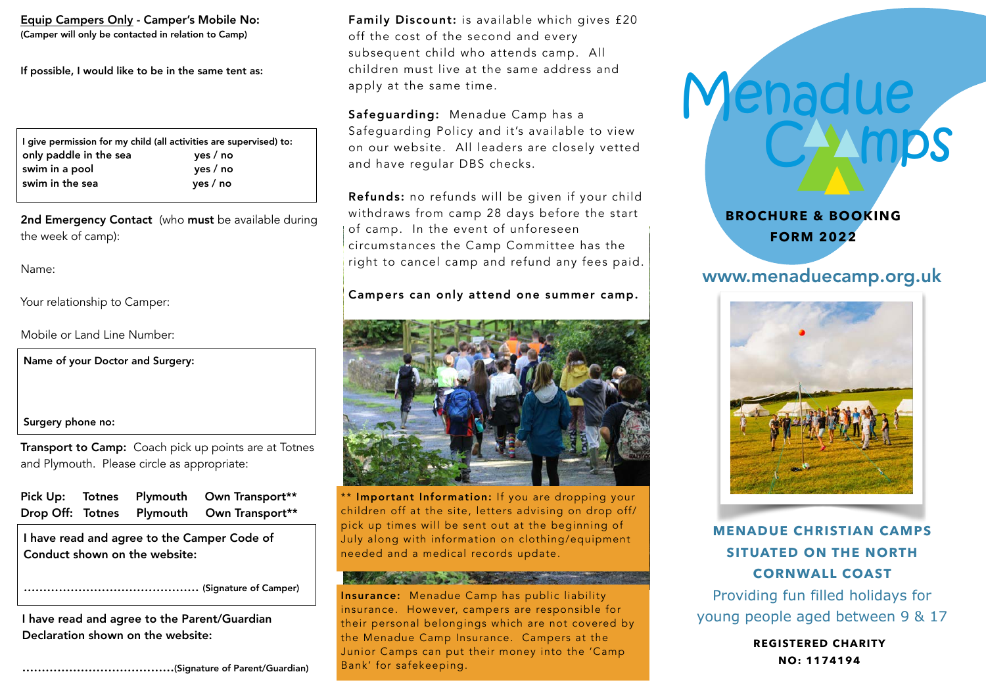Equip Campers Only - Camper's Mobile No: (Camper will only be contacted in relation to Camp)

If possible, I would like to be in the same tent as:

|                        | I give permission for my child (all activities are supervised) to: |
|------------------------|--------------------------------------------------------------------|
| only paddle in the sea | yes / no                                                           |
| swim in a pool         | yes / no                                                           |
| swim in the sea        | yes / no                                                           |

2nd Emergency Contact (who must be available during the week of camp):

Name:

Your relationship to Camper:

Mobile or Land Line Number:

Name of your Doctor and Surgery:

#### Surgery phone no:

Transport to Camp: Coach pick up points are at Totnes and Plymouth. Please circle as appropriate:

| <b>Pick Up:</b> |  | Totnes Plymouth Own Transport**           |
|-----------------|--|-------------------------------------------|
|                 |  | Drop Off: Totnes Plymouth Own Transport** |

I have read and agree to the Camper Code of Conduct shown on the website:

……………………………………… (Signature of Camper)

I have read and agree to the Parent/Guardian Declaration shown on the website:

…………………………………(Signature of Parent/Guardian)

Family Discount: is available which gives £20 off the cost of the second and every subsequent child who attends camp. All children must live at the same address and apply at the same time.

Safeguarding: Menadue Camp has a Safeguarding Policy and it's available to view on our website. All leaders are closely vetted and have regular DBS checks.

Refunds: no refunds will be given if your child withdraws from camp 28 days before the start of camp. In the event of unforeseen circumstances the Camp Committee has the right to cancel camp and refund any fees paid.

## Campers can only attend one summer camp.



\*\* Important Information: If you are dropping your children off at the site, letters advising on drop off/ pick up times will be sent out at the beginning of July along with information on clothing/equipment needed and a medical records update.

Insurance: Menadue Camp has public liability insurance. However, campers are responsible for their personal belongings which are not covered by the Menadue Camp Insurance. Campers at the Junior Camps can put their money into the 'Camp Bank' for safekeeping.



Menadue

# www.menaduecamp.org.uk

CAAmps



**MENADUE CHRISTIAN CAMPS SITUATED ON THE NORTH CORNWALL COAST** 

Providing fun filled holidays for young people aged between 9 & 17

> **REGISTERED CHARITY NO: 1174194**